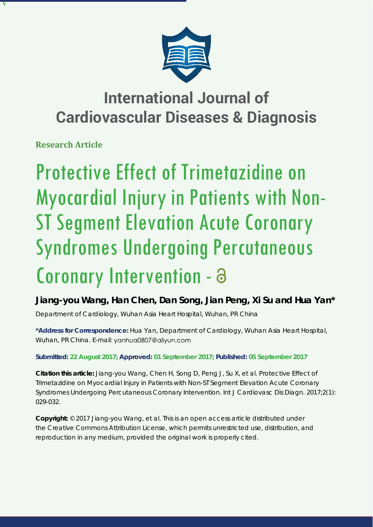

# **International Journal of Cardiovascular Diseases & Diagnosis**

**Research Article**

**V**

# Protective Effect of Trimetazidine on Myocardial Injury in Patients with Non-ST Segment Elevation Acute Coronary Syndromes Undergoing Percutaneous Coronary Intervention -

**Jiang-you Wang, Han Chen, Dan Song, Jian Peng, Xi Su and Hua Yan\***

*Department of Cardiology, Wuhan Asia Heart Hospital, Wuhan, PR China*

**\*Address for Correspondence:** Hua Yan, Department of Cardiology, Wuhan Asia Heart Hospital, Wuhan, PR China. E-mail: yanhua0807@aliyun.com

**Submitted: 22 August 2017; Approved: 01 September 2017; Published: 05 September 2017**

**Citation this article:** Jiang-you Wang, Chen H, Song D, Peng J, Su X, et al. Protective Effect of Trimetazidine on Myocardial Injury in Patients with Non-ST Segment Elevation Acute Coronary Syndromes Undergoing Percutaneous Coronary Intervention. Int J Cardiovasc Dis Diagn. 2017;2(1): 029-032.

**Copyright:** © 2017 Jiang-you Wang, et al. This is an open access article distributed under the Creative Commons Attribution License, which permits unrestricted use, distribution, and reproduction in any medium, provided the original work is properly cited.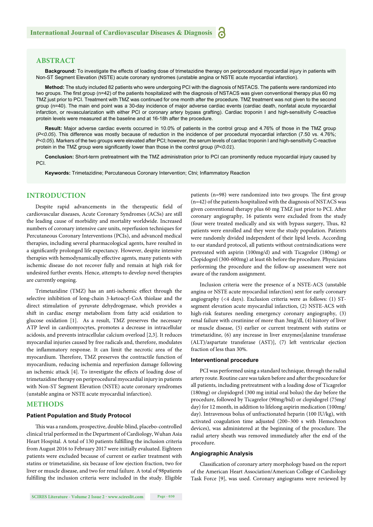# **ABSTRACT**

**Background:** To investigate the effects of loading dose of trimetazidine therapy on periprocedural myocardial injury in patients with Non-ST Segment Elevation (NSTE) acute coronary syndromes (unstable angina or NSTE acute myocardial infarction).

**Method:** The study included 82 patients who were undergoing PCI with the diagnosis of NSTACS. The patients were randomized into two groups. The first group (n=42) of the patients hospitalized with the diagnosis of NSTACS was given conventional therapy plus 60 mg TMZ just prior to PCI. Treatment with TMZ was continued for one month after the procedure. TMZ treatment was not given to the second group (n=40). The main end point was a 30-day incidence of major adverse cardiac events (cardiac death, nonfatal acute myocardial infarction, or revascularization with either PCI or coronary artery bypass grafting). Cardiac troponin I and high-sensitivity C-reactive protein levels were measured at the baseline and at 16-18h after the procedure.

**Result:** Major adverse cardiac events occurred in 10.0% of patients in the control group and 4.76% of those in the TMZ group (*P<0.05*). This difference was mostly because of reduction in the incidence of per procedural myocardial infarction (7.50 vs. 4.76%; *P<0.05*). Markers of the two groups were elevated after PCI; however, the serum levels of cardiac troponin I and high-sensitivity C-reactive protein in the TMZ group were significantly lower than those in the control group (P<0.01).

**Conclusion:** Short-term pretreatment with the TMZ administration prior to PCI can prominently reduce myocardial injury caused by PCI.

**Keywords:** Trimetazidine; Percutaneous Coronary Intervention; Ctni; Inflammatory Reaction

# **INTRODUCTION**

Despite rapid advancements in the therapeutic field of cardiovascular diseases, Acute Coronary Syndromes (ACSs) are still the leading cause of morbidity and mortality worldwide. Increased numbers of coronary intensive care units, reperfusion techniques for Percutaneous Coronary Interventions (PCIs), and advanced medical therapies, including several pharmacological agents, have resulted in a significantly prolonged life expectancy. However, despite intensive therapies with hemodynamically effective agents, many patients with ischemic disease do not recover fully and remain at high risk for undesired further events. Hence, attempts to develop novel therapies are currently ongoing.

Trimetazidine (TMZ) has an anti-ischemic effect through the selective inhibition of long-chain 3-ketoacyl-CoA thiolase and the direct stimulation of pyruvate dehydrogenase, which provides a shift in cardiac energy metabolism from fatty acid oxidation to glucose oxidation [1]. As a result, TMZ preserves the necessary ATP level in cardiomyocytes, promotes a decrease in intracellular acidosis, and prevents intracellular calcium overload [2,3]. It reduces myocardial injuries caused by free radicals and, therefore, modulates the inflammatory response. It can limit the necrotic area of the myocardium. Therefore, TMZ preserves the contractile function of myocardium, reducing ischemia and reperfusion damage following an ischemic attack [4]. To investigate the effects of loading dose of trimetazidine therapy on periprocedural myocardial injury in patients with Non-ST Segment Elevation (NSTE) acute coronary syndromes (unstable angina or NSTE acute myocardial infarction).

#### **METHODS**

#### **Patient Population and Study Protocol**

This was a random, prospective, double-blind, placebo-controlled clinical trial performed in the Department of Cardiology, Wuhan Asia Heart Hospital. A total of 130 patients fulfilling the inclusion criteria from August 2016 to February 2017 were initially evaluated. Eighteen patients were excluded because of current or earlier treatment with statins or trimetazidine, six because of low ejection fraction, two for liver or muscle disease, and two for renal failure. A total of 98patients fulfilling the inclusion criteria were included in the study. Eligible patients ( $n=98$ ) were randomized into two groups. The first group (n=42) of the patients hospitalized with the diagnosis of NSTACS was given conventional therapy plus 60 mg TMZ just prior to PCI. After coronary angiography, 16 patients were excluded from the study (four were treated medically and six with bypass surgery, Thus, 82 patients were enrolled and they were the study population. Patients were randomly divided independent of their lipid levels. According to our standard protocol, all patients without contraindications were pretreated with aspirin (100mg/d) and with Ticagrelor (180mg) or Clopidogrel (300-600mg) at least 6h before the procedure. Physicians performing the procedure and the follow-up assessment were not aware of the random assignment.

Inclusion criteria were the presence of a NSTE-ACS (unstable angina or NSTE acute myocardial infarction) sent for early coronary angiography (<4 days). Exclusion criteria were as follows: (1) STsegment elevation acute myocardial infarction, (2) NSTE-ACS with high-risk features needing emergency coronary angiography, (3) renal failure with creatinine of more than 3mg/dl, (4) history of liver or muscle disease, (5) earlier or current treatment with statins or trimetazidine, (6) any increase in liver enzymes[alanine transferase (ALT)/aspartate transferase (AST)], (7) left ventricular ejection fraction of less than 30%.

#### **Interventional procedure**

PCI was performed using a standard technique, through the radial artery route. Routine care was taken before and after the procedure for all patients, including pretreatment with a loading dose of Ticagrelor (180mg) or clopidogrel (300 mg initial oral bolus) the day before the procedure, followed by Ticagrelor (90mg/bid) or clopidogrel (75mg/ day) for 12 month, in addition to lifelong aspirin medication (100mg/ day). Intravenous bolus of unfractionated heparin (100 IU/kg), with activated coagulation time adjusted (200–300 s with Hemochron devices), was administered at the beginning of the procedure. The radial artery sheath was removed immediately after the end of the procedure.

#### **Angiographic Analysis**

Classification of coronary artery morphology based on the report of the American Heart Association/American College of Cardiology Task Force [9], was used. Coronary angiograms were reviewed by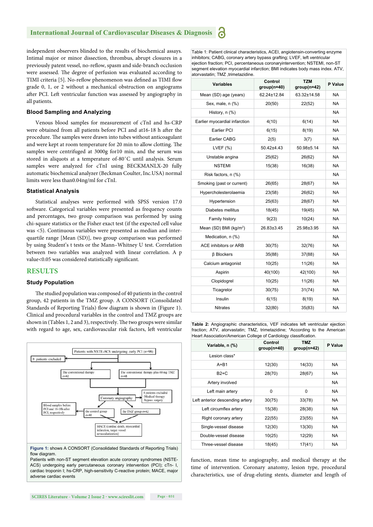# **International Journal of Cardiovascular Diseases & Diagnosis**

independent observers blinded to the results of biochemical assays. Intimal major or minor dissection, thrombus, abrupt closures in a previously patent vessel, no-reflow, spasm and side-branch occlusion were assessed. The degree of perfusion was evaluated according to TIMI criteria [5]. No-reflow phenomenon was defined as TIMI flow grade 0, 1, or 2 without a mechanical obstruction on angiograms after PCI. Left ventricular function was assessed by angiography in all patients.

#### **Blood Sampling and Analyzing**

Venous blood samples for measurement of cTnI and hs-CRP were obtained from all patients before PCI and at 16-18 h after the procedure. The samples were drawn into tubes without anticoagulant and were kept at room temperature for 20 min to allow clotting. The samples were centrifuged at 3000g for10 min, and the serum was stored in aliquots at a temperature of-80˚C until analysis. Serum samples were analyzed for cTnI using BECKMANLX-20 fully automatic biochemical analyzer (Beckman Coulter, Inc.USA) normal limits were less than0.04ng/ml for cTnI.

#### **Statistical Analysis**

Statistical analyses were performed with SPSS version 17.0 software. Categorical variables were presented as frequency counts and percentages, two group comparison was performed by using chi-square statistics or the Fisher exact test (if the expected cell value was <5). Continuous variables were presented as median and interquartile range [Mean (SD)], two group comparison was performed by using Student's t tests or the Mann–Whitney U test. Correlation between two variables was analyzed with linear correlation. A p value<0.05 was considered statistically significant.

# **RESULTS**

#### **Study Population**

The studied population was composed of 40 patients in the control group, 42 patients in the TMZ group. A CONSORT (Consolidated Standards of Reporting Trials) flow diagram is shown in (Figure 1). Clinical and procedural variables in the control and TMZ groups are shown in (Tables 1, 2 and 3), respectively. The two groups were similar with regard to age, sex, cardiovascular risk factors, left ventricular



**Figure 1:** shows A CONSORT (Consolidated Standards of Reporting Trials) flow diagram.

Patients with non-ST segment elevation acute coronary syndromes (NSTE-ACS) undergoing early percutaneous coronary intervention (PCI); cTn- I, cardiac troponin I; hs-CRP, high-sensitivity C-reactive protein; MACE, major adverse cardiac events

Table 1: Patient clinical characteristics, ACEI, angiotensin-converting enzyme inhibitors; CABG, coronary artery bypass grafting; LVEF, left ventricular ejection fraction; PCI, percentaneous coronaryintervention; NSTEMI, non-ST segment elevation myocardial infarction: BMI indicates body mass index. ATV, atorvastatin: TMZ trimetazidine.

| <b>Variables</b>                   | Control<br>$group(n=40)$ | <b>TZM</b><br>$group(n=42)$ | P Value   |
|------------------------------------|--------------------------|-----------------------------|-----------|
| Mean (SD) age (years)              | 62.24±12.84              | 63.32±14.58                 | <b>NA</b> |
| Sex, male, n (%)                   | 20(50)                   | 22(52)                      | <b>NA</b> |
| History, n (%)                     |                          |                             | <b>NA</b> |
| Earlier myocardial infarction      | 4(10)                    | 6(14)                       | <b>NA</b> |
| Earlier PCI                        | 6(15)                    | 8(19)                       | <b>NA</b> |
| Earlier CABG                       | 2(5)<br>3(7)             |                             | NA        |
| LVEF $(% )$                        | $50.42{\pm}4.43$         | 50.98±5.14                  | <b>NA</b> |
| Unstable angina                    | 25(62)                   | 26(62)                      | <b>NA</b> |
| <b>NSTEMI</b>                      | 15(38)                   | 16(38)                      | <b>NA</b> |
| Risk factors, n (%)                |                          |                             | <b>NA</b> |
| Smoking (past or current)          | 26(65)                   | 28(67)                      | <b>NA</b> |
| Hypercholesterolaemia              | 23(58)                   | 26(62)                      | <b>NA</b> |
| Hypertension                       | 25(63)                   | 28(67)                      | <b>NA</b> |
| Diabetes mellitus                  | 18(45)                   | 19(45)                      | <b>NA</b> |
| Family history                     | 9(23)                    | 10(24)                      | <b>NA</b> |
| Mean (SD) BMI (kg/m <sup>2</sup> ) | 26.83±3.45               | 25.98±3.95                  | <b>NA</b> |
| Medication, n (%)                  |                          |                             | <b>NA</b> |
| ACE inhibitors or ARB              | 30(75)                   | 32(76)                      | <b>NA</b> |
| <b>B</b> Blockers                  | 35(88)                   | 37(88)                      | <b>NA</b> |
| Calcium antagonist                 | 10(25)                   | 11(26)                      | <b>NA</b> |
| Aspirin                            | 40(100)                  | 42(100)                     | <b>NA</b> |
| Clopidogrel                        | 10(25)                   | 11(26)                      | <b>NA</b> |
| Ticagrelor                         | 30(75)                   | 31(74)                      |           |
| Insulin                            | 6(15)                    | 8(19)                       | <b>NA</b> |
| <b>Nitrates</b>                    | 32(80)                   | 35(83)                      | <b>NA</b> |

**Table 2:** Angiographic characteristics, VEF indicates left ventricular ejection fraction; ATV, atorvastatin; TMZ, trimetazidine; \*According to the American Heart Association/American College of Cardiology classification.

| <b>Heart Association/American College or Cardiology classification.</b> |                          |                             |           |  |  |
|-------------------------------------------------------------------------|--------------------------|-----------------------------|-----------|--|--|
| Variable, n (%)                                                         | Control<br>$group(n=40)$ | <b>TMZ</b><br>$group(n=42)$ | P Value   |  |  |
| Lesion class*                                                           |                          |                             |           |  |  |
| $A + B1$                                                                | 12(30)                   | 14(33)                      | NA.       |  |  |
| $B2+C$                                                                  | 28(70)                   | 28(67)                      | NA.       |  |  |
| Artery involved                                                         |                          |                             | NA.       |  |  |
| Left main artery                                                        | 0                        | 0                           | NA.       |  |  |
| Left anterior descending artery                                         | 30(75)                   | 33(78)                      | NA.       |  |  |
| Left circumflex artery                                                  | 15(38)                   | 28(38)                      | NA.       |  |  |
| Right coronary artery                                                   | 22(55)                   | 23(55)                      | NA.       |  |  |
| Single-vessel disease                                                   | 12(30)                   | 13(30)                      | NA.       |  |  |
| Double-vessel disease                                                   | 10(25)                   | 12(29)                      | NA.       |  |  |
| Three-vessel disease                                                    | 18(45)                   | 17(41)                      | <b>NA</b> |  |  |

function, mean time to angiography, and medical therapy at the time of intervention. Coronary anatomy, lesion type, procedural characteristics, use of drug-eluting stents, diameter and length of